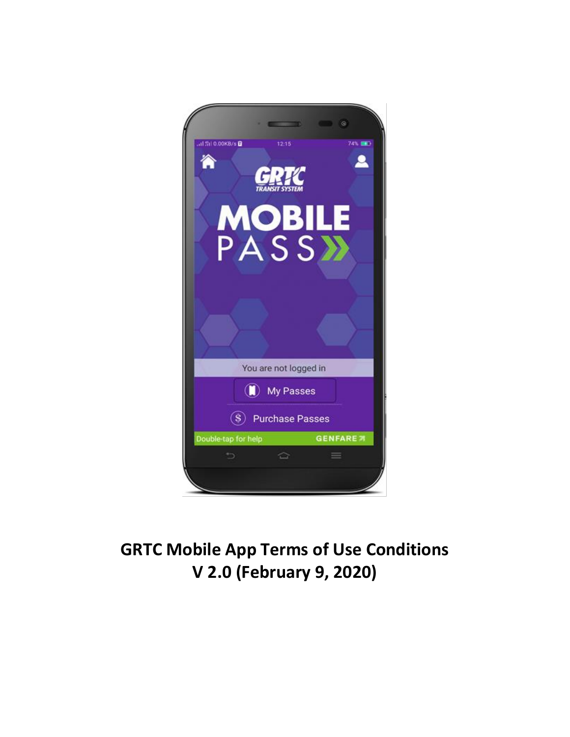

# **GRTC Mobile App Terms of Use Conditions V 2.0 (February 9, 2020)**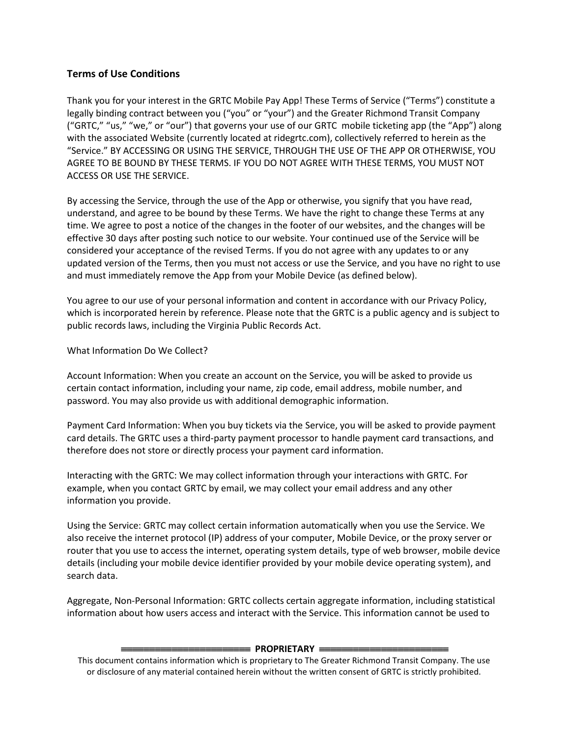## **Terms of Use Conditions**

Thank you for your interest in the GRTC Mobile Pay App! These Terms of Service ("Terms") constitute a legally binding contract between you ("you" or "your") and the Greater Richmond Transit Company ("GRTC," "us," "we," or "our") that governs your use of our GRTC mobile ticketing app (the "App") along with the associated Website (currently located at ridegrtc.com), collectively referred to herein as the "Service." BY ACCESSING OR USING THE SERVICE, THROUGH THE USE OF THE APP OR OTHERWISE, YOU AGREE TO BE BOUND BY THESE TERMS. IF YOU DO NOT AGREE WITH THESE TERMS, YOU MUST NOT ACCESS OR USE THE SERVICE.

By accessing the Service, through the use of the App or otherwise, you signify that you have read, understand, and agree to be bound by these Terms. We have the right to change these Terms at any time. We agree to post a notice of the changes in the footer of our websites, and the changes will be effective 30 days after posting such notice to our website. Your continued use of the Service will be considered your acceptance of the revised Terms. If you do not agree with any updates to or any updated version of the Terms, then you must not access or use the Service, and you have no right to use and must immediately remove the App from your Mobile Device (as defined below).

You agree to our use of your personal information and content in accordance with our Privacy Policy, which is incorporated herein by reference. Please note that the GRTC is a public agency and is subject to public records laws, including the Virginia Public Records Act.

What Information Do We Collect?

Account Information: When you create an account on the Service, you will be asked to provide us certain contact information, including your name, zip code, email address, mobile number, and password. You may also provide us with additional demographic information.

Payment Card Information: When you buy tickets via the Service, you will be asked to provide payment card details. The GRTC uses a third-party payment processor to handle payment card transactions, and therefore does not store or directly process your payment card information.

Interacting with the GRTC: We may collect information through your interactions with GRTC. For example, when you contact GRTC by email, we may collect your email address and any other information you provide.

Using the Service: GRTC may collect certain information automatically when you use the Service. We also receive the internet protocol (IP) address of your computer, Mobile Device, or the proxy server or router that you use to access the internet, operating system details, type of web browser, mobile device details (including your mobile device identifier provided by your mobile device operating system), and search data.

Aggregate, Non-Personal Information: GRTC collects certain aggregate information, including statistical information about how users access and interact with the Service. This information cannot be used to

#### **EXAMPLE PROPRIETARY EXAMPLE**

This document contains information which is proprietary to The Greater Richmond Transit Company. The use or disclosure of any material contained herein without the written consent of GRTC is strictly prohibited.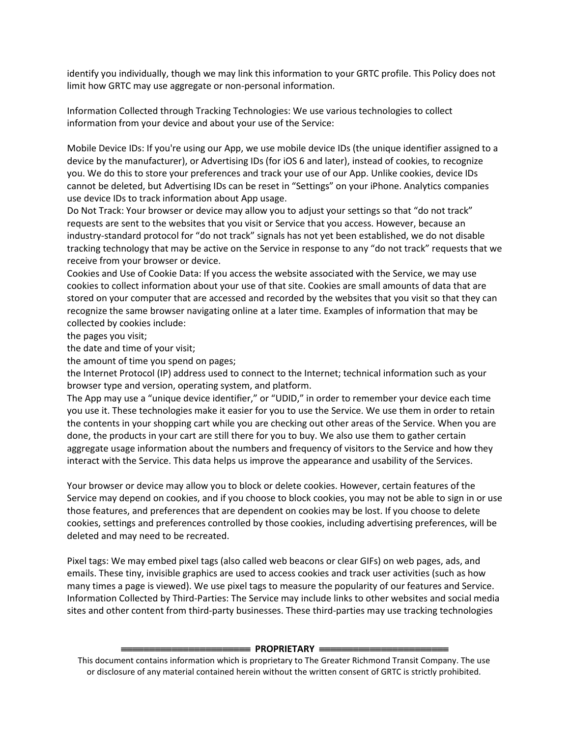identify you individually, though we may link this information to your GRTC profile. This Policy does not limit how GRTC may use aggregate or non-personal information.

Information Collected through Tracking Technologies: We use various technologies to collect information from your device and about your use of the Service:

Mobile Device IDs: If you're using our App, we use mobile device IDs (the unique identifier assigned to a device by the manufacturer), or Advertising IDs (for iOS 6 and later), instead of cookies, to recognize you. We do this to store your preferences and track your use of our App. Unlike cookies, device IDs cannot be deleted, but Advertising IDs can be reset in "Settings" on your iPhone. Analytics companies use device IDs to track information about App usage.

Do Not Track: Your browser or device may allow you to adjust your settings so that "do not track" requests are sent to the websites that you visit or Service that you access. However, because an industry-standard protocol for "do not track" signals has not yet been established, we do not disable tracking technology that may be active on the Service in response to any "do not track" requests that we receive from your browser or device.

Cookies and Use of Cookie Data: If you access the website associated with the Service, we may use cookies to collect information about your use of that site. Cookies are small amounts of data that are stored on your computer that are accessed and recorded by the websites that you visit so that they can recognize the same browser navigating online at a later time. Examples of information that may be collected by cookies include:

the pages you visit;

the date and time of your visit;

the amount of time you spend on pages;

the Internet Protocol (IP) address used to connect to the Internet; technical information such as your browser type and version, operating system, and platform.

The App may use a "unique device identifier," or "UDID," in order to remember your device each time you use it. These technologies make it easier for you to use the Service. We use them in order to retain the contents in your shopping cart while you are checking out other areas of the Service. When you are done, the products in your cart are still there for you to buy. We also use them to gather certain aggregate usage information about the numbers and frequency of visitors to the Service and how they interact with the Service. This data helps us improve the appearance and usability of the Services.

Your browser or device may allow you to block or delete cookies. However, certain features of the Service may depend on cookies, and if you choose to block cookies, you may not be able to sign in or use those features, and preferences that are dependent on cookies may be lost. If you choose to delete cookies, settings and preferences controlled by those cookies, including advertising preferences, will be deleted and may need to be recreated.

Pixel tags: We may embed pixel tags (also called web beacons or clear GIFs) on web pages, ads, and emails. These tiny, invisible graphics are used to access cookies and track user activities (such as how many times a page is viewed). We use pixel tags to measure the popularity of our features and Service. Information Collected by Third-Parties: The Service may include links to other websites and social media sites and other content from third-party businesses. These third-parties may use tracking technologies

#### **EEROPRIETARY EER**

This document contains information which is proprietary to The Greater Richmond Transit Company. The use or disclosure of any material contained herein without the written consent of GRTC is strictly prohibited.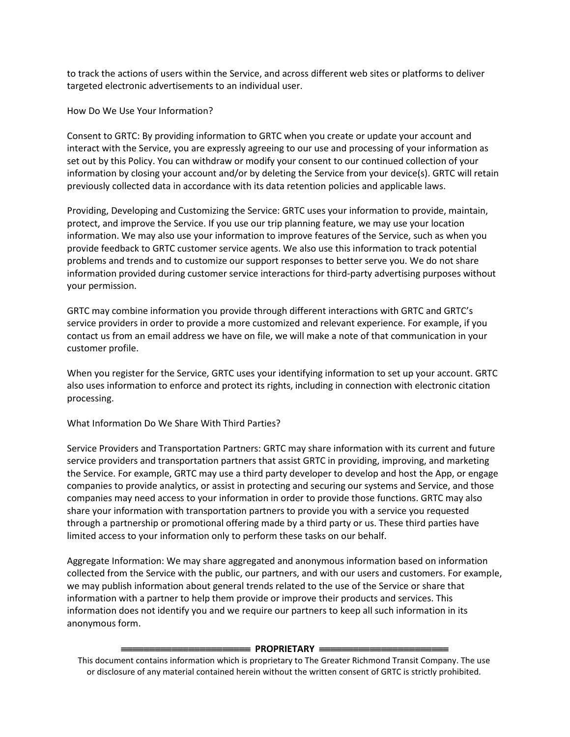to track the actions of users within the Service, and across different web sites or platforms to deliver targeted electronic advertisements to an individual user.

How Do We Use Your Information?

Consent to GRTC: By providing information to GRTC when you create or update your account and interact with the Service, you are expressly agreeing to our use and processing of your information as set out by this Policy. You can withdraw or modify your consent to our continued collection of your information by closing your account and/or by deleting the Service from your device(s). GRTC will retain previously collected data in accordance with its data retention policies and applicable laws.

Providing, Developing and Customizing the Service: GRTC uses your information to provide, maintain, protect, and improve the Service. If you use our trip planning feature, we may use your location information. We may also use your information to improve features of the Service, such as when you provide feedback to GRTC customer service agents. We also use this information to track potential problems and trends and to customize our support responses to better serve you. We do not share information provided during customer service interactions for third-party advertising purposes without your permission.

GRTC may combine information you provide through different interactions with GRTC and GRTC's service providers in order to provide a more customized and relevant experience. For example, if you contact us from an email address we have on file, we will make a note of that communication in your customer profile.

When you register for the Service, GRTC uses your identifying information to set up your account. GRTC also uses information to enforce and protect its rights, including in connection with electronic citation processing.

What Information Do We Share With Third Parties?

Service Providers and Transportation Partners: GRTC may share information with its current and future service providers and transportation partners that assist GRTC in providing, improving, and marketing the Service. For example, GRTC may use a third party developer to develop and host the App, or engage companies to provide analytics, or assist in protecting and securing our systems and Service, and those companies may need access to your information in order to provide those functions. GRTC may also share your information with transportation partners to provide you with a service you requested through a partnership or promotional offering made by a third party or us. These third parties have limited access to your information only to perform these tasks on our behalf.

Aggregate Information: We may share aggregated and anonymous information based on information collected from the Service with the public, our partners, and with our users and customers. For example, we may publish information about general trends related to the use of the Service or share that information with a partner to help them provide or improve their products and services. This information does not identify you and we require our partners to keep all such information in its anonymous form.

## **EEROPRIETARY** =

This document contains information which is proprietary to The Greater Richmond Transit Company. The use or disclosure of any material contained herein without the written consent of GRTC is strictly prohibited.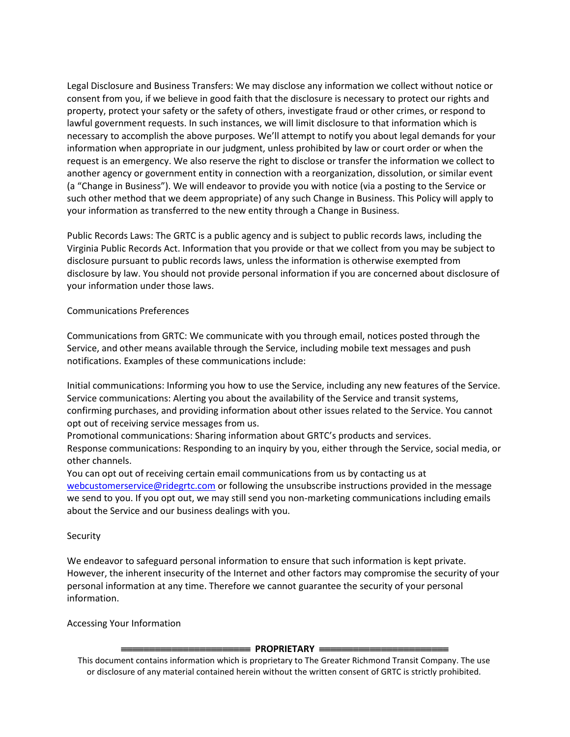Legal Disclosure and Business Transfers: We may disclose any information we collect without notice or consent from you, if we believe in good faith that the disclosure is necessary to protect our rights and property, protect your safety or the safety of others, investigate fraud or other crimes, or respond to lawful government requests. In such instances, we will limit disclosure to that information which is necessary to accomplish the above purposes. We'll attempt to notify you about legal demands for your information when appropriate in our judgment, unless prohibited by law or court order or when the request is an emergency. We also reserve the right to disclose or transfer the information we collect to another agency or government entity in connection with a reorganization, dissolution, or similar event (a "Change in Business"). We will endeavor to provide you with notice (via a posting to the Service or such other method that we deem appropriate) of any such Change in Business. This Policy will apply to your information as transferred to the new entity through a Change in Business.

Public Records Laws: The GRTC is a public agency and is subject to public records laws, including the Virginia Public Records Act. Information that you provide or that we collect from you may be subject to disclosure pursuant to public records laws, unless the information is otherwise exempted from disclosure by law. You should not provide personal information if you are concerned about disclosure of your information under those laws.

## Communications Preferences

Communications from GRTC: We communicate with you through email, notices posted through the Service, and other means available through the Service, including mobile text messages and push notifications. Examples of these communications include:

Initial communications: Informing you how to use the Service, including any new features of the Service. Service communications: Alerting you about the availability of the Service and transit systems, confirming purchases, and providing information about other issues related to the Service. You cannot opt out of receiving service messages from us.

Promotional communications: Sharing information about GRTC's products and services. Response communications: Responding to an inquiry by you, either through the Service, social media, or other channels.

You can opt out of receiving certain email communications from us by contacting us at [webcustomerservice@ridegrtc.com](mailto:webcustomerservice@ridegrtc.com) or following the unsubscribe instructions provided in the message we send to you. If you opt out, we may still send you non-marketing communications including emails about the Service and our business dealings with you.

## Security

We endeavor to safeguard personal information to ensure that such information is kept private. However, the inherent insecurity of the Internet and other factors may compromise the security of your personal information at any time. Therefore we cannot guarantee the security of your personal information.

Accessing Your Information

## **ENDERIETARY** =

This document contains information which is proprietary to The Greater Richmond Transit Company. The use or disclosure of any material contained herein without the written consent of GRTC is strictly prohibited.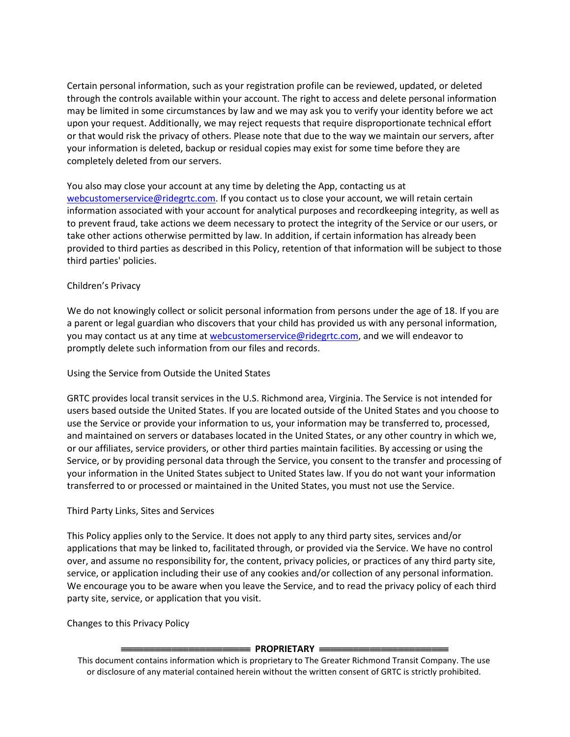Certain personal information, such as your registration profile can be reviewed, updated, or deleted through the controls available within your account. The right to access and delete personal information may be limited in some circumstances by law and we may ask you to verify your identity before we act upon your request. Additionally, we may reject requests that require disproportionate technical effort or that would risk the privacy of others. Please note that due to the way we maintain our servers, after your information is deleted, backup or residual copies may exist for some time before they are completely deleted from our servers.

You also may close your account at any time by deleting the App, contacting us at [webcustomerservice@ridegrtc.com.](mailto:webcustomerservice@ridegrtc.com) If you contact us to close your account, we will retain certain information associated with your account for analytical purposes and recordkeeping integrity, as well as to prevent fraud, take actions we deem necessary to protect the integrity of the Service or our users, or take other actions otherwise permitted by law. In addition, if certain information has already been provided to third parties as described in this Policy, retention of that information will be subject to those third parties' policies.

## Children's Privacy

We do not knowingly collect or solicit personal information from persons under the age of 18. If you are a parent or legal guardian who discovers that your child has provided us with any personal information, you may contact us at any time at [webcustomerservice@ridegrtc.com,](mailto:webcustomerservice@ridegrtc.com) and we will endeavor to promptly delete such information from our files and records.

## Using the Service from Outside the United States

GRTC provides local transit services in the U.S. Richmond area, Virginia. The Service is not intended for users based outside the United States. If you are located outside of the United States and you choose to use the Service or provide your information to us, your information may be transferred to, processed, and maintained on servers or databases located in the United States, or any other country in which we, or our affiliates, service providers, or other third parties maintain facilities. By accessing or using the Service, or by providing personal data through the Service, you consent to the transfer and processing of your information in the United States subject to United States law. If you do not want your information transferred to or processed or maintained in the United States, you must not use the Service.

## Third Party Links, Sites and Services

This Policy applies only to the Service. It does not apply to any third party sites, services and/or applications that may be linked to, facilitated through, or provided via the Service. We have no control over, and assume no responsibility for, the content, privacy policies, or practices of any third party site, service, or application including their use of any cookies and/or collection of any personal information. We encourage you to be aware when you leave the Service, and to read the privacy policy of each third party site, service, or application that you visit.

Changes to this Privacy Policy

## **EEE PROPRIETARY**

This document contains information which is proprietary to The Greater Richmond Transit Company. The use or disclosure of any material contained herein without the written consent of GRTC is strictly prohibited.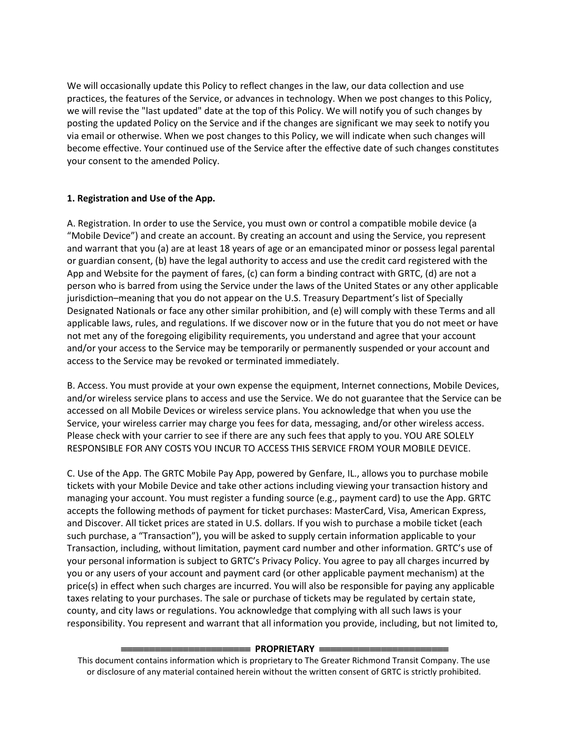We will occasionally update this Policy to reflect changes in the law, our data collection and use practices, the features of the Service, or advances in technology. When we post changes to this Policy, we will revise the "last updated" date at the top of this Policy. We will notify you of such changes by posting the updated Policy on the Service and if the changes are significant we may seek to notify you via email or otherwise. When we post changes to this Policy, we will indicate when such changes will become effective. Your continued use of the Service after the effective date of such changes constitutes your consent to the amended Policy.

## **1. Registration and Use of the App.**

A. Registration. In order to use the Service, you must own or control a compatible mobile device (a "Mobile Device") and create an account. By creating an account and using the Service, you represent and warrant that you (a) are at least 18 years of age or an emancipated minor or possess legal parental or guardian consent, (b) have the legal authority to access and use the credit card registered with the App and Website for the payment of fares, (c) can form a binding contract with GRTC, (d) are not a person who is barred from using the Service under the laws of the United States or any other applicable jurisdiction–meaning that you do not appear on the U.S. Treasury Department's list of Specially Designated Nationals or face any other similar prohibition, and (e) will comply with these Terms and all applicable laws, rules, and regulations. If we discover now or in the future that you do not meet or have not met any of the foregoing eligibility requirements, you understand and agree that your account and/or your access to the Service may be temporarily or permanently suspended or your account and access to the Service may be revoked or terminated immediately.

B. Access. You must provide at your own expense the equipment, Internet connections, Mobile Devices, and/or wireless service plans to access and use the Service. We do not guarantee that the Service can be accessed on all Mobile Devices or wireless service plans. You acknowledge that when you use the Service, your wireless carrier may charge you fees for data, messaging, and/or other wireless access. Please check with your carrier to see if there are any such fees that apply to you. YOU ARE SOLELY RESPONSIBLE FOR ANY COSTS YOU INCUR TO ACCESS THIS SERVICE FROM YOUR MOBILE DEVICE.

C. Use of the App. The GRTC Mobile Pay App, powered by Genfare, IL., allows you to purchase mobile tickets with your Mobile Device and take other actions including viewing your transaction history and managing your account. You must register a funding source (e.g., payment card) to use the App. GRTC accepts the following methods of payment for ticket purchases: MasterCard, Visa, American Express, and Discover. All ticket prices are stated in U.S. dollars. If you wish to purchase a mobile ticket (each such purchase, a "Transaction"), you will be asked to supply certain information applicable to your Transaction, including, without limitation, payment card number and other information. GRTC's use of your personal information is subject to GRTC's Privacy Policy. You agree to pay all charges incurred by you or any users of your account and payment card (or other applicable payment mechanism) at the price(s) in effect when such charges are incurred. You will also be responsible for paying any applicable taxes relating to your purchases. The sale or purchase of tickets may be regulated by certain state, county, and city laws or regulations. You acknowledge that complying with all such laws is your responsibility. You represent and warrant that all information you provide, including, but not limited to,

## **EXAMPLE PROPRIETARY**

This document contains information which is proprietary to The Greater Richmond Transit Company. The use or disclosure of any material contained herein without the written consent of GRTC is strictly prohibited.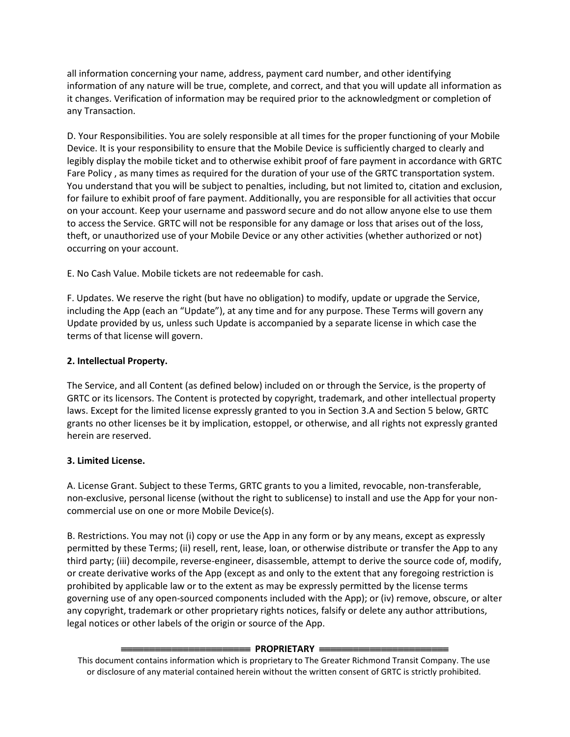all information concerning your name, address, payment card number, and other identifying information of any nature will be true, complete, and correct, and that you will update all information as it changes. Verification of information may be required prior to the acknowledgment or completion of any Transaction.

D. Your Responsibilities. You are solely responsible at all times for the proper functioning of your Mobile Device. It is your responsibility to ensure that the Mobile Device is sufficiently charged to clearly and legibly display the mobile ticket and to otherwise exhibit proof of fare payment in accordance with GRTC Fare Policy , as many times as required for the duration of your use of the GRTC transportation system. You understand that you will be subject to penalties, including, but not limited to, citation and exclusion, for failure to exhibit proof of fare payment. Additionally, you are responsible for all activities that occur on your account. Keep your username and password secure and do not allow anyone else to use them to access the Service. GRTC will not be responsible for any damage or loss that arises out of the loss, theft, or unauthorized use of your Mobile Device or any other activities (whether authorized or not) occurring on your account.

E. No Cash Value. Mobile tickets are not redeemable for cash.

F. Updates. We reserve the right (but have no obligation) to modify, update or upgrade the Service, including the App (each an "Update"), at any time and for any purpose. These Terms will govern any Update provided by us, unless such Update is accompanied by a separate license in which case the terms of that license will govern.

## **2. Intellectual Property.**

The Service, and all Content (as defined below) included on or through the Service, is the property of GRTC or its licensors. The Content is protected by copyright, trademark, and other intellectual property laws. Except for the limited license expressly granted to you in Section 3.A and Section 5 below, GRTC grants no other licenses be it by implication, estoppel, or otherwise, and all rights not expressly granted herein are reserved.

# **3. Limited License.**

A. License Grant. Subject to these Terms, GRTC grants to you a limited, revocable, non-transferable, non-exclusive, personal license (without the right to sublicense) to install and use the App for your noncommercial use on one or more Mobile Device(s).

B. Restrictions. You may not (i) copy or use the App in any form or by any means, except as expressly permitted by these Terms; (ii) resell, rent, lease, loan, or otherwise distribute or transfer the App to any third party; (iii) decompile, reverse-engineer, disassemble, attempt to derive the source code of, modify, or create derivative works of the App (except as and only to the extent that any foregoing restriction is prohibited by applicable law or to the extent as may be expressly permitted by the license terms governing use of any open-sourced components included with the App); or (iv) remove, obscure, or alter any copyright, trademark or other proprietary rights notices, falsify or delete any author attributions, legal notices or other labels of the origin or source of the App.

## **PROPRIETARY**

This document contains information which is proprietary to The Greater Richmond Transit Company. The use or disclosure of any material contained herein without the written consent of GRTC is strictly prohibited.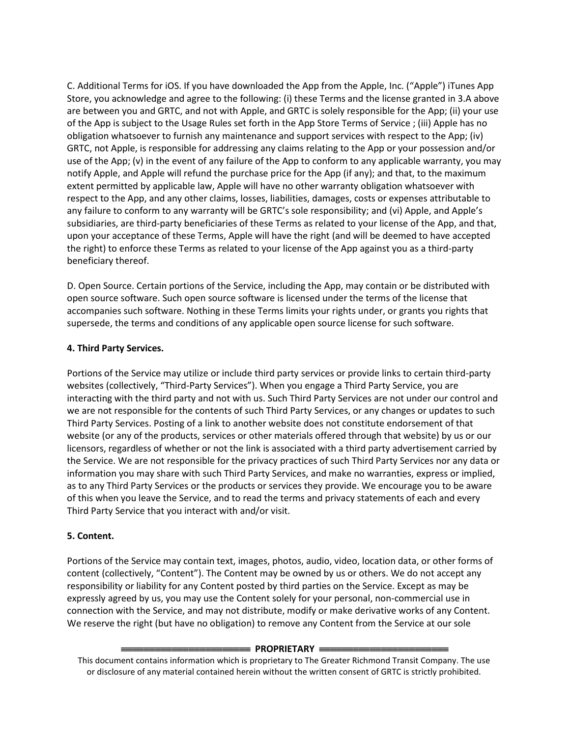C. Additional Terms for iOS. If you have downloaded the App from the Apple, Inc. ("Apple") iTunes App Store, you acknowledge and agree to the following: (i) these Terms and the license granted in 3.A above are between you and GRTC, and not with Apple, and GRTC is solely responsible for the App; (ii) your use of the App is subject to the Usage Rules set forth in the App Store Terms of Service ; (iii) Apple has no obligation whatsoever to furnish any maintenance and support services with respect to the App; (iv) GRTC, not Apple, is responsible for addressing any claims relating to the App or your possession and/or use of the App; (v) in the event of any failure of the App to conform to any applicable warranty, you may notify Apple, and Apple will refund the purchase price for the App (if any); and that, to the maximum extent permitted by applicable law, Apple will have no other warranty obligation whatsoever with respect to the App, and any other claims, losses, liabilities, damages, costs or expenses attributable to any failure to conform to any warranty will be GRTC's sole responsibility; and (vi) Apple, and Apple's subsidiaries, are third-party beneficiaries of these Terms as related to your license of the App, and that, upon your acceptance of these Terms, Apple will have the right (and will be deemed to have accepted the right) to enforce these Terms as related to your license of the App against you as a third-party beneficiary thereof.

D. Open Source. Certain portions of the Service, including the App, may contain or be distributed with open source software. Such open source software is licensed under the terms of the license that accompanies such software. Nothing in these Terms limits your rights under, or grants you rights that supersede, the terms and conditions of any applicable open source license for such software.

## **4. Third Party Services.**

Portions of the Service may utilize or include third party services or provide links to certain third-party websites (collectively, "Third-Party Services"). When you engage a Third Party Service, you are interacting with the third party and not with us. Such Third Party Services are not under our control and we are not responsible for the contents of such Third Party Services, or any changes or updates to such Third Party Services. Posting of a link to another website does not constitute endorsement of that website (or any of the products, services or other materials offered through that website) by us or our licensors, regardless of whether or not the link is associated with a third party advertisement carried by the Service. We are not responsible for the privacy practices of such Third Party Services nor any data or information you may share with such Third Party Services, and make no warranties, express or implied, as to any Third Party Services or the products or services they provide. We encourage you to be aware of this when you leave the Service, and to read the terms and privacy statements of each and every Third Party Service that you interact with and/or visit.

# **5. Content.**

Portions of the Service may contain text, images, photos, audio, video, location data, or other forms of content (collectively, "Content"). The Content may be owned by us or others. We do not accept any responsibility or liability for any Content posted by third parties on the Service. Except as may be expressly agreed by us, you may use the Content solely for your personal, non-commercial use in connection with the Service, and may not distribute, modify or make derivative works of any Content. We reserve the right (but have no obligation) to remove any Content from the Service at our sole

## **EXAMPLE PROPRIETARY**

This document contains information which is proprietary to The Greater Richmond Transit Company. The use or disclosure of any material contained herein without the written consent of GRTC is strictly prohibited.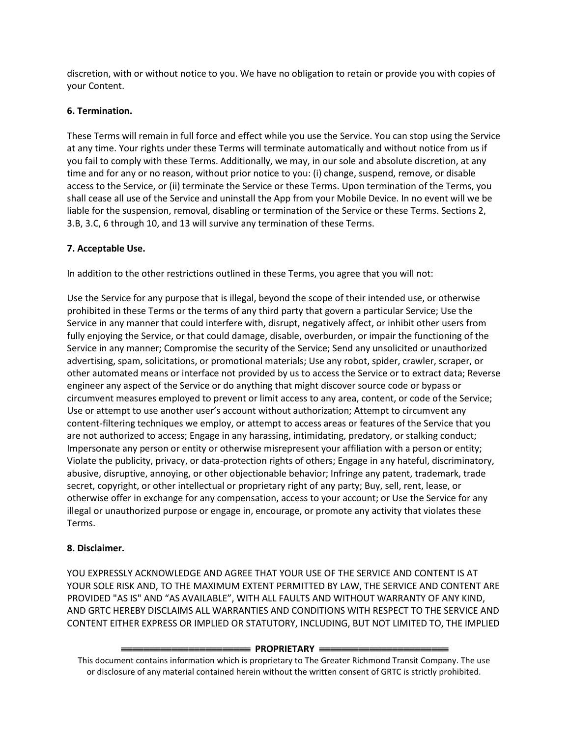discretion, with or without notice to you. We have no obligation to retain or provide you with copies of your Content.

## **6. Termination.**

These Terms will remain in full force and effect while you use the Service. You can stop using the Service at any time. Your rights under these Terms will terminate automatically and without notice from us if you fail to comply with these Terms. Additionally, we may, in our sole and absolute discretion, at any time and for any or no reason, without prior notice to you: (i) change, suspend, remove, or disable access to the Service, or (ii) terminate the Service or these Terms. Upon termination of the Terms, you shall cease all use of the Service and uninstall the App from your Mobile Device. In no event will we be liable for the suspension, removal, disabling or termination of the Service or these Terms. Sections 2, 3.B, 3.C, 6 through 10, and 13 will survive any termination of these Terms.

# **7. Acceptable Use.**

In addition to the other restrictions outlined in these Terms, you agree that you will not:

Use the Service for any purpose that is illegal, beyond the scope of their intended use, or otherwise prohibited in these Terms or the terms of any third party that govern a particular Service; Use the Service in any manner that could interfere with, disrupt, negatively affect, or inhibit other users from fully enjoying the Service, or that could damage, disable, overburden, or impair the functioning of the Service in any manner; Compromise the security of the Service; Send any unsolicited or unauthorized advertising, spam, solicitations, or promotional materials; Use any robot, spider, crawler, scraper, or other automated means or interface not provided by us to access the Service or to extract data; Reverse engineer any aspect of the Service or do anything that might discover source code or bypass or circumvent measures employed to prevent or limit access to any area, content, or code of the Service; Use or attempt to use another user's account without authorization; Attempt to circumvent any content-filtering techniques we employ, or attempt to access areas or features of the Service that you are not authorized to access; Engage in any harassing, intimidating, predatory, or stalking conduct; Impersonate any person or entity or otherwise misrepresent your affiliation with a person or entity; Violate the publicity, privacy, or data-protection rights of others; Engage in any hateful, discriminatory, abusive, disruptive, annoying, or other objectionable behavior; Infringe any patent, trademark, trade secret, copyright, or other intellectual or proprietary right of any party; Buy, sell, rent, lease, or otherwise offer in exchange for any compensation, access to your account; or Use the Service for any illegal or unauthorized purpose or engage in, encourage, or promote any activity that violates these Terms.

# **8. Disclaimer.**

YOU EXPRESSLY ACKNOWLEDGE AND AGREE THAT YOUR USE OF THE SERVICE AND CONTENT IS AT YOUR SOLE RISK AND, TO THE MAXIMUM EXTENT PERMITTED BY LAW, THE SERVICE AND CONTENT ARE PROVIDED "AS IS" AND "AS AVAILABLE", WITH ALL FAULTS AND WITHOUT WARRANTY OF ANY KIND, AND GRTC HEREBY DISCLAIMS ALL WARRANTIES AND CONDITIONS WITH RESPECT TO THE SERVICE AND CONTENT EITHER EXPRESS OR IMPLIED OR STATUTORY, INCLUDING, BUT NOT LIMITED TO, THE IMPLIED

## **ENDING THE PROPRIETARY**

This document contains information which is proprietary to The Greater Richmond Transit Company. The use or disclosure of any material contained herein without the written consent of GRTC is strictly prohibited.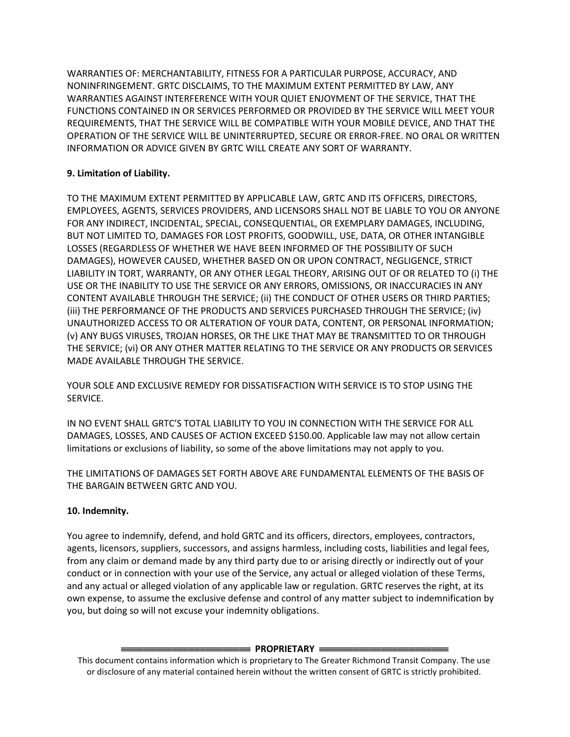WARRANTIES OF: MERCHANTABILITY, FITNESS FOR A PARTICULAR PURPOSE, ACCURACY, AND NONINFRINGEMENT. GRTC DISCLAIMS, TO THE MAXIMUM EXTENT PERMITTED BY LAW, ANY WARRANTIES AGAINST INTERFERENCE WITH YOUR QUIET ENJOYMENT OF THE SERVICE, THAT THE FUNCTIONS CONTAINED IN OR SERVICES PERFORMED OR PROVIDED BY THE SERVICE WILL MEET YOUR REQUIREMENTS, THAT THE SERVICE WILL BE COMPATIBLE WITH YOUR MOBILE DEVICE, AND THAT THE OPERATION OF THE SERVICE WILL BE UNINTERRUPTED, SECURE OR ERROR-FREE. NO ORAL OR WRITTEN INFORMATION OR ADVICE GIVEN BY GRTC WILL CREATE ANY SORT OF WARRANTY.

# **9. Limitation of Liability.**

TO THE MAXIMUM EXTENT PERMITTED BY APPLICABLE LAW, GRTC AND ITS OFFICERS, DIRECTORS, EMPLOYEES, AGENTS, SERVICES PROVIDERS, AND LICENSORS SHALL NOT BE LIABLE TO YOU OR ANYONE FOR ANY INDIRECT, INCIDENTAL, SPECIAL, CONSEQUENTIAL, OR EXEMPLARY DAMAGES, INCLUDING, BUT NOT LIMITED TO, DAMAGES FOR LOST PROFITS, GOODWILL, USE, DATA, OR OTHER INTANGIBLE LOSSES (REGARDLESS OF WHETHER WE HAVE BEEN INFORMED OF THE POSSIBILITY OF SUCH DAMAGES), HOWEVER CAUSED, WHETHER BASED ON OR UPON CONTRACT, NEGLIGENCE, STRICT LIABILITY IN TORT, WARRANTY, OR ANY OTHER LEGAL THEORY, ARISING OUT OF OR RELATED TO (i) THE USE OR THE INABILITY TO USE THE SERVICE OR ANY ERRORS, OMISSIONS, OR INACCURACIES IN ANY CONTENT AVAILABLE THROUGH THE SERVICE; (ii) THE CONDUCT OF OTHER USERS OR THIRD PARTIES; (iii) THE PERFORMANCE OF THE PRODUCTS AND SERVICES PURCHASED THROUGH THE SERVICE; (iv) UNAUTHORIZED ACCESS TO OR ALTERATION OF YOUR DATA, CONTENT, OR PERSONAL INFORMATION; (v) ANY BUGS VIRUSES, TROJAN HORSES, OR THE LIKE THAT MAY BE TRANSMITTED TO OR THROUGH THE SERVICE; (vi) OR ANY OTHER MATTER RELATING TO THE SERVICE OR ANY PRODUCTS OR SERVICES MADE AVAILABLE THROUGH THE SERVICE.

YOUR SOLE AND EXCLUSIVE REMEDY FOR DISSATISFACTION WITH SERVICE IS TO STOP USING THE SERVICE.

IN NO EVENT SHALL GRTC'S TOTAL LIABILITY TO YOU IN CONNECTION WITH THE SERVICE FOR ALL DAMAGES, LOSSES, AND CAUSES OF ACTION EXCEED \$150.00. Applicable law may not allow certain limitations or exclusions of liability, so some of the above limitations may not apply to you.

THE LIMITATIONS OF DAMAGES SET FORTH ABOVE ARE FUNDAMENTAL ELEMENTS OF THE BASIS OF THE BARGAIN BETWEEN GRTC AND YOU.

# **10. Indemnity.**

You agree to indemnify, defend, and hold GRTC and its officers, directors, employees, contractors, agents, licensors, suppliers, successors, and assigns harmless, including costs, liabilities and legal fees, from any claim or demand made by any third party due to or arising directly or indirectly out of your conduct or in connection with your use of the Service, any actual or alleged violation of these Terms, and any actual or alleged violation of any applicable law or regulation. GRTC reserves the right, at its own expense, to assume the exclusive defense and control of any matter subject to indemnification by you, but doing so will not excuse your indemnity obligations.

## **EXAMPLE PROPRIETARY EXAMPLE**

This document contains information which is proprietary to The Greater Richmond Transit Company. The use or disclosure of any material contained herein without the written consent of GRTC is strictly prohibited.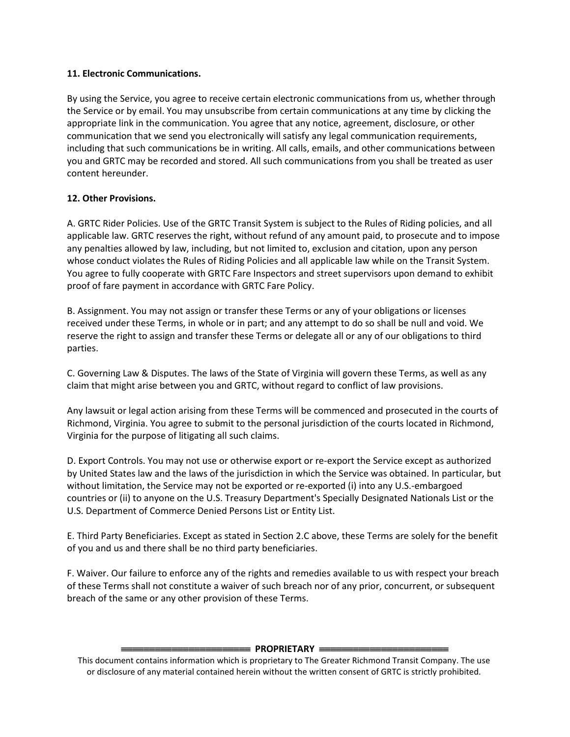## **11. Electronic Communications.**

By using the Service, you agree to receive certain electronic communications from us, whether through the Service or by email. You may unsubscribe from certain communications at any time by clicking the appropriate link in the communication. You agree that any notice, agreement, disclosure, or other communication that we send you electronically will satisfy any legal communication requirements, including that such communications be in writing. All calls, emails, and other communications between you and GRTC may be recorded and stored. All such communications from you shall be treated as user content hereunder.

## **12. Other Provisions.**

A. GRTC Rider Policies. Use of the GRTC Transit System is subject to the Rules of Riding policies, and all applicable law. GRTC reserves the right, without refund of any amount paid, to prosecute and to impose any penalties allowed by law, including, but not limited to, exclusion and citation, upon any person whose conduct violates the Rules of Riding Policies and all applicable law while on the Transit System. You agree to fully cooperate with GRTC Fare Inspectors and street supervisors upon demand to exhibit proof of fare payment in accordance with GRTC Fare Policy.

B. Assignment. You may not assign or transfer these Terms or any of your obligations or licenses received under these Terms, in whole or in part; and any attempt to do so shall be null and void. We reserve the right to assign and transfer these Terms or delegate all or any of our obligations to third parties.

C. Governing Law & Disputes. The laws of the State of Virginia will govern these Terms, as well as any claim that might arise between you and GRTC, without regard to conflict of law provisions.

Any lawsuit or legal action arising from these Terms will be commenced and prosecuted in the courts of Richmond, Virginia. You agree to submit to the personal jurisdiction of the courts located in Richmond, Virginia for the purpose of litigating all such claims.

D. Export Controls. You may not use or otherwise export or re-export the Service except as authorized by United States law and the laws of the jurisdiction in which the Service was obtained. In particular, but without limitation, the Service may not be exported or re-exported (i) into any U.S.-embargoed countries or (ii) to anyone on the U.S. Treasury Department's Specially Designated Nationals List or the U.S. Department of Commerce Denied Persons List or Entity List.

E. Third Party Beneficiaries. Except as stated in Section 2.C above, these Terms are solely for the benefit of you and us and there shall be no third party beneficiaries.

F. Waiver. Our failure to enforce any of the rights and remedies available to us with respect your breach of these Terms shall not constitute a waiver of such breach nor of any prior, concurrent, or subsequent breach of the same or any other provision of these Terms.

## **ENDERIETARY** =

This document contains information which is proprietary to The Greater Richmond Transit Company. The use or disclosure of any material contained herein without the written consent of GRTC is strictly prohibited.